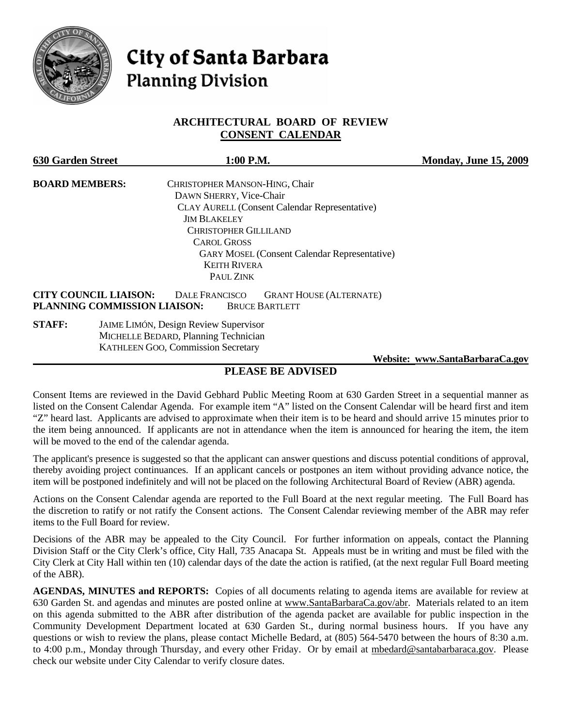

# **City of Santa Barbara Planning Division**

# **ARCHITECTURAL BOARD OF REVIEW CONSENT CALENDAR**

| <b>630 Garden Street</b> | 1:00 P.M.                                                                                                                                        | <b>Monday, June 15, 2009</b> |
|--------------------------|--------------------------------------------------------------------------------------------------------------------------------------------------|------------------------------|
| <b>BOARD MEMBERS:</b>    | CHRISTOPHER MANSON-HING, Chair                                                                                                                   |                              |
|                          | DAWN SHERRY, Vice-Chair                                                                                                                          |                              |
|                          | <b>CLAY AURELL (Consent Calendar Representative)</b>                                                                                             |                              |
|                          | <b>JIM BLAKELEY</b>                                                                                                                              |                              |
|                          | <b>CHRISTOPHER GILLILAND</b>                                                                                                                     |                              |
|                          | <b>CAROL GROSS</b>                                                                                                                               |                              |
|                          | <b>GARY MOSEL (Consent Calendar Representative)</b>                                                                                              |                              |
|                          | <b>KEITH RIVERA</b>                                                                                                                              |                              |
|                          | PAUL ZINK                                                                                                                                        |                              |
|                          | <b>CITY COUNCIL LIAISON:</b><br><b>DALE FRANCISCO</b><br><b>GRANT HOUSE (ALTERNATE)</b><br>PLANNING COMMISSION LIAISON:<br><b>BRUCE BARTLETT</b> |                              |
| <b>STAFF:</b>            | <b>JAIME LIMÓN, Design Review Supervisor</b>                                                                                                     |                              |
|                          | MICHELLE BEDARD, Planning Technician                                                                                                             |                              |
|                          | <b>KATHLEEN GOO, Commission Secretary</b>                                                                                                        |                              |

 **Website: [www.SantaBarbaraCa.gov](http://www.santabarbaraca.gov/)**

# **PLEASE BE ADVISED**

Consent Items are reviewed in the David Gebhard Public Meeting Room at 630 Garden Street in a sequential manner as listed on the Consent Calendar Agenda. For example item "A" listed on the Consent Calendar will be heard first and item "Z" heard last. Applicants are advised to approximate when their item is to be heard and should arrive 15 minutes prior to the item being announced. If applicants are not in attendance when the item is announced for hearing the item, the item will be moved to the end of the calendar agenda.

The applicant's presence is suggested so that the applicant can answer questions and discuss potential conditions of approval, thereby avoiding project continuances. If an applicant cancels or postpones an item without providing advance notice, the item will be postponed indefinitely and will not be placed on the following Architectural Board of Review (ABR) agenda.

Actions on the Consent Calendar agenda are reported to the Full Board at the next regular meeting. The Full Board has the discretion to ratify or not ratify the Consent actions. The Consent Calendar reviewing member of the ABR may refer items to the Full Board for review.

Decisions of the ABR may be appealed to the City Council. For further information on appeals, contact the Planning Division Staff or the City Clerk's office, City Hall, 735 Anacapa St. Appeals must be in writing and must be filed with the City Clerk at City Hall within ten (10) calendar days of the date the action is ratified, (at the next regular Full Board meeting of the ABR).

**AGENDAS, MINUTES and REPORTS:** Copies of all documents relating to agenda items are available for review at 630 Garden St. and agendas and minutes are posted online at [www.SantaBarbaraCa.gov/abr.](http://www.santabarbaraca.gov/abr) Materials related to an item on this agenda submitted to the ABR after distribution of the agenda packet are available for public inspection in the Community Development Department located at 630 Garden St., during normal business hours. If you have any questions or wish to review the plans, please contact Michelle Bedard, at (805) 564-5470 between the hours of 8:30 a.m. to 4:00 p.m., Monday through Thursday, and every other Friday. Or by email at [mbedard@santabarbaraca.gov](mailto:mbedard@santabarbaraca.gov). Please check our website under City Calendar to verify closure dates.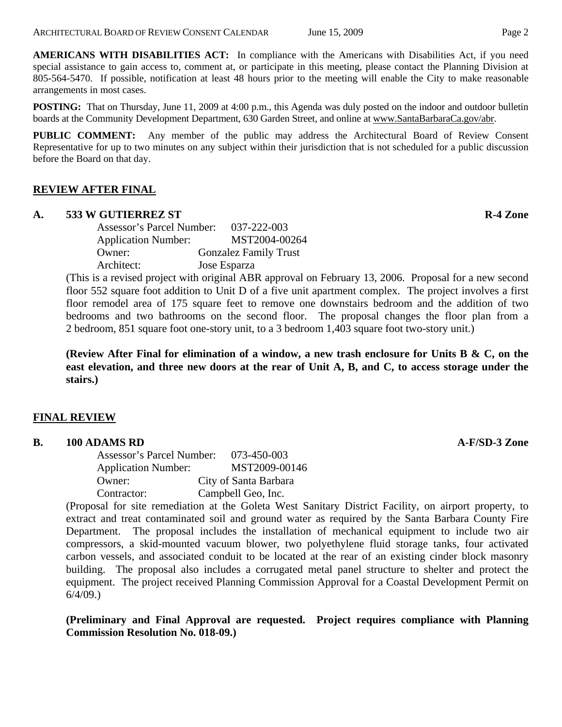**AMERICANS WITH DISABILITIES ACT:** In compliance with the Americans with Disabilities Act, if you need special assistance to gain access to, comment at, or participate in this meeting, please contact the Planning Division at 805-564-5470. If possible, notification at least 48 hours prior to the meeting will enable the City to make reasonable arrangements in most cases.

**POSTING:** That on Thursday, June 11, 2009 at 4:00 p.m., this Agenda was duly posted on the indoor and outdoor bulletin boards at the Community Development Department, 630 Garden Street, and online at [www.SantaBarbaraCa.gov/abr](http://www.santabarbaraca.gov/abr).

**PUBLIC COMMENT:** Any member of the public may address the Architectural Board of Review Consent Representative for up to two minutes on any subject within their jurisdiction that is not scheduled for a public discussion before the Board on that day.

# **REVIEW AFTER FINAL**

#### A. 533 W GUTIERREZ ST **R-4 Zone**

Assessor's Parcel Number: 037-222-003 Application Number: MST2004-00264 Owner: Gonzalez Family Trust Architect: Jose Esparza

(This is a revised project with original ABR approval on February 13, 2006. Proposal for a new second floor 552 square foot addition to Unit D of a five unit apartment complex. The project involves a first floor remodel area of 175 square feet to remove one downstairs bedroom and the addition of two bedrooms and two bathrooms on the second floor. The proposal changes the floor plan from a 2 bedroom, 851 square foot one-story unit, to a 3 bedroom 1,403 square foot two-story unit.)

**(Review After Final for elimination of a window, a new trash enclosure for Units B & C, on the east elevation, and three new doors at the rear of Unit A, B, and C, to access storage under the stairs.)** 

#### **FINAL REVIEW**

#### **B.** 100 ADAMS RD **A-F/SD-3 Zone**

Assessor's Parcel Number: 073-450-003 Application Number: MST2009-00146 Owner: City of Santa Barbara Contractor: Campbell Geo, Inc.

(Proposal for site remediation at the Goleta West Sanitary District Facility, on airport property, to extract and treat contaminated soil and ground water as required by the Santa Barbara County Fire Department. The proposal includes the installation of mechanical equipment to include two air compressors, a skid-mounted vacuum blower, two polyethylene fluid storage tanks, four activated carbon vessels, and associated conduit to be located at the rear of an existing cinder block masonry building. The proposal also includes a corrugated metal panel structure to shelter and protect the equipment. The project received Planning Commission Approval for a Coastal Development Permit on 6/4/09.)

**(Preliminary and Final Approval are requested. Project requires compliance with Planning Commission Resolution No. 018-09.)**